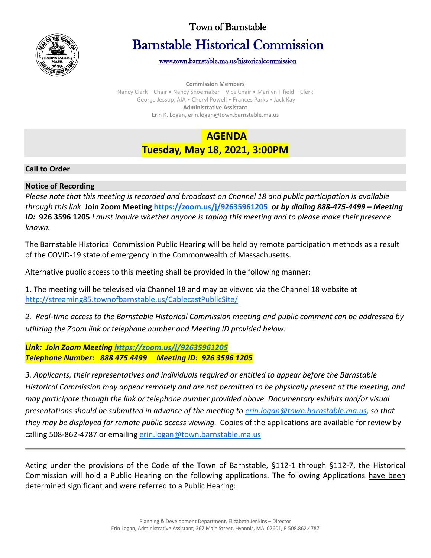

## Town of Barnstable

# Barnstable Historical Commission

[www.town.barnstable.ma.us/historicalcommission](http://www.town.barnstable.ma.us/historicalcommission) 

**Commission Members** Nancy Clark – Chair • Nancy Shoemaker – Vice Chair • Marilyn Fifield – Clerk George Jessop, AIA • Cheryl Powell • Frances Parks • Jack Kay

**Administrative Assistant**

Erin K. Logan, erin.logan@town.barnstable.ma.us

# **AGENDA Tuesday, May 18, 2021, 3:00PM**

#### **Call to Order**

#### **Notice of Recording**

*Please note that this meeting is recorded and broadcast on Channel 18 and public participation is available through this link* **Join Zoom Meetin[g https://zoom.us/j/92635961205](https://zoom.us/j/92635961205)** *or by dialing 888-475-4499 – Meeting ID:* **926 3596 1205** *I must inquire whether anyone is taping this meeting and to please make their presence known.*

The Barnstable Historical Commission Public Hearing will be held by remote participation methods as a result of the COVID-19 state of emergency in the Commonwealth of Massachusetts.

Alternative public access to this meeting shall be provided in the following manner:

1. The meeting will be televised via Channel 18 and may be viewed via the Channel 18 website at <http://streaming85.townofbarnstable.us/CablecastPublicSite/>

*2. Real-time access to the Barnstable Historical Commission meeting and public comment can be addressed by utilizing the Zoom link or telephone number and Meeting ID provided below:*

*Link: Join Zoom Meeting<https://zoom.us/j/92635961205> Telephone Number: 888 475 4499 Meeting ID: 926 3596 1205*

*3. Applicants, their representatives and individuals required or entitled to appear before the Barnstable Historical Commission may appear remotely and are not permitted to be physically present at the meeting, and may participate through the link or telephone number provided above. Documentary exhibits and/or visual presentations should be submitted in advance of the meeting to [erin.logan@town.barnstable.ma.us,](mailto:erin.logan@town.barnstable.ma.us) so that they may be displayed for remote public access viewing.* Copies of the applications are available for review by calling 508-862-4787 or emailing [erin.logan@town.barnstable.ma.us](mailto:erin.logan@town.barnstable.ma.us)

Acting under the provisions of the Code of the Town of Barnstable, §112-1 through §112-7, the Historical Commission will hold a Public Hearing on the following applications. The following Applications have been determined significant and were referred to a Public Hearing: